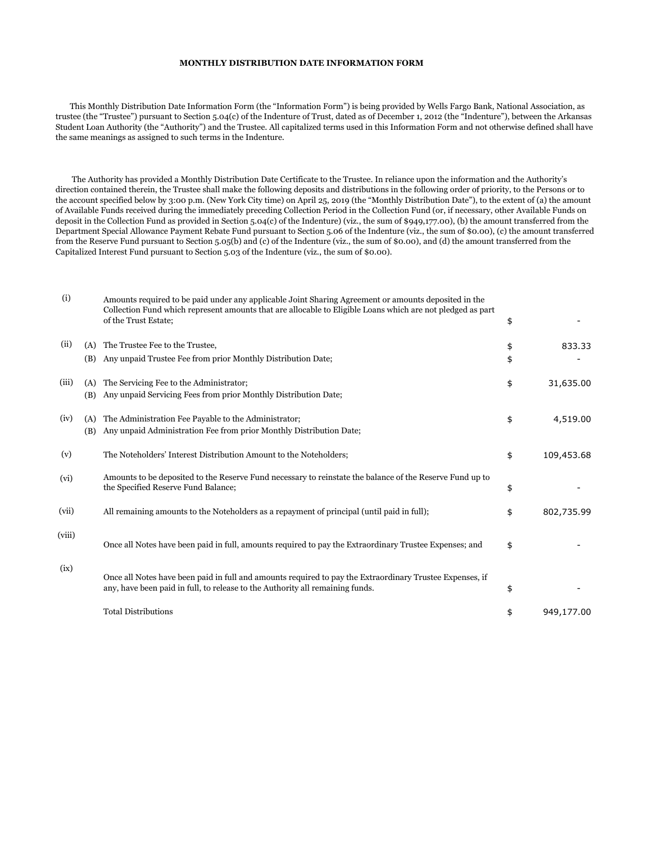## **MONTHLY DISTRIBUTION DATE INFORMATION FORM**

 This Monthly Distribution Date Information Form (the "Information Form") is being provided by Wells Fargo Bank, National Association, as trustee (the "Trustee") pursuant to Section 5.04(c) of the Indenture of Trust, dated as of December 1, 2012 (the "Indenture"), between the Arkansas Student Loan Authority (the "Authority") and the Trustee. All capitalized terms used in this Information Form and not otherwise defined shall have the same meanings as assigned to such terms in the Indenture.

 The Authority has provided a Monthly Distribution Date Certificate to the Trustee. In reliance upon the information and the Authority's direction contained therein, the Trustee shall make the following deposits and distributions in the following order of priority, to the Persons or to the account specified below by 3:00 p.m. (New York City time) on April 25, 2019 (the "Monthly Distribution Date"), to the extent of (a) the amount of Available Funds received during the immediately preceding Collection Period in the Collection Fund (or, if necessary, other Available Funds on deposit in the Collection Fund as provided in Section 5.04(c) of the Indenture) (viz., the sum of \$949,177.00), (b) the amount transferred from the Department Special Allowance Payment Rebate Fund pursuant to Section 5.06 of the Indenture (viz., the sum of \$0.00), (c) the amount transferred from the Reserve Fund pursuant to Section 5.05(b) and (c) of the Indenture (viz., the sum of \$0.00), and (d) the amount transferred from the Capitalized Interest Fund pursuant to Section 5.03 of the Indenture (viz., the sum of \$0.00).

| (i)    |            | Amounts required to be paid under any applicable Joint Sharing Agreement or amounts deposited in the<br>Collection Fund which represent amounts that are allocable to Eligible Loans which are not pledged as part<br>of the Trust Estate; | \$       |            |
|--------|------------|--------------------------------------------------------------------------------------------------------------------------------------------------------------------------------------------------------------------------------------------|----------|------------|
| (ii)   | (A)<br>(B) | The Trustee Fee to the Trustee,<br>Any unpaid Trustee Fee from prior Monthly Distribution Date;                                                                                                                                            | \$<br>\$ | 833.33     |
| (iii)  | (A)<br>(B) | The Servicing Fee to the Administrator;<br>Any unpaid Servicing Fees from prior Monthly Distribution Date;                                                                                                                                 | \$       | 31,635.00  |
| (iv)   | (A)<br>(B) | The Administration Fee Payable to the Administrator;<br>Any unpaid Administration Fee from prior Monthly Distribution Date;                                                                                                                | \$       | 4,519.00   |
| (v)    |            | The Noteholders' Interest Distribution Amount to the Noteholders;                                                                                                                                                                          | \$       | 109,453.68 |
| (vi)   |            | Amounts to be deposited to the Reserve Fund necessary to reinstate the balance of the Reserve Fund up to<br>the Specified Reserve Fund Balance;                                                                                            | \$       |            |
| (vii)  |            | All remaining amounts to the Noteholders as a repayment of principal (until paid in full);                                                                                                                                                 | \$       | 802,735.99 |
| (viii) |            | Once all Notes have been paid in full, amounts required to pay the Extraordinary Trustee Expenses; and                                                                                                                                     | \$       |            |
| (ix)   |            | Once all Notes have been paid in full and amounts required to pay the Extraordinary Trustee Expenses, if<br>any, have been paid in full, to release to the Authority all remaining funds.                                                  | \$       |            |
|        |            | <b>Total Distributions</b>                                                                                                                                                                                                                 | \$       | 949,177.00 |